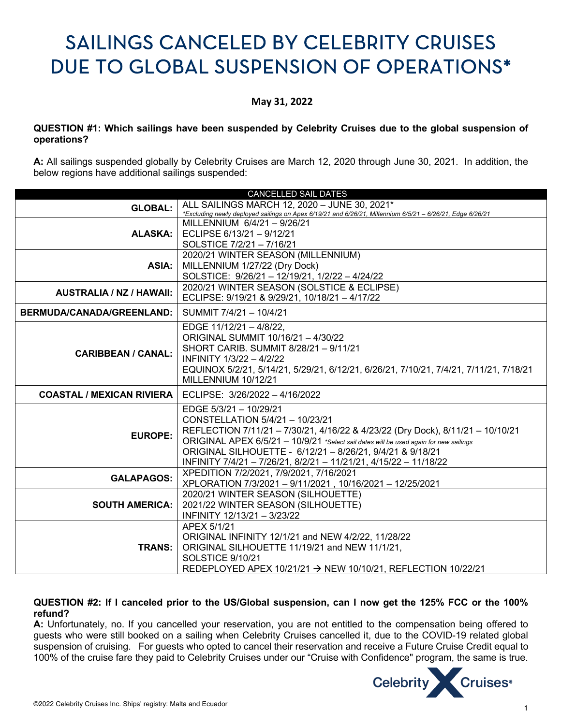# SAILINGS CANCELED BY CELEBRITY CRUISES DUE TO GLOBAL SUSPENSION OF OPERATIONS\*

## **May 31, 2022**

## **QUESTION #1: Which sailings have been suspended by Celebrity Cruises due to the global suspension of operations?**

**A:** All sailings suspended globally by Celebrity Cruises are March 12, 2020 through June 30, 2021. In addition, the below regions have additional sailings suspended:

| ALL SAILINGS MARCH 12, 2020 - JUNE 30, 2021*<br><b>GLOBAL:</b><br>*Excluding newly deployed sailings on Apex 6/19/21 and 6/26/21, Millennium 6/5/21 - 6/26/21, Edge 6/26/21<br>MILLENNIUM $6/4/21 - 9/26/21$<br>ECLIPSE 6/13/21 - 9/12/21<br><b>ALASKA:</b><br>SOLSTICE 7/2/21 - 7/16/21<br>2020/21 WINTER SEASON (MILLENNIUM)<br>MILLENNIUM 1/27/22 (Dry Dock)<br>ASIA:<br>SOLSTICE: 9/26/21 - 12/19/21, 1/2/22 - 4/24/22<br>2020/21 WINTER SEASON (SOLSTICE & ECLIPSE)<br><b>AUSTRALIA / NZ / HAWAII:</b><br>ECLIPSE: 9/19/21 & 9/29/21, 10/18/21 - 4/17/22<br>SUMMIT 7/4/21 - 10/4/21<br><b>BERMUDA/CANADA/GREENLAND:</b><br>EDGE 11/12/21 - 4/8/22,<br>ORIGINAL SUMMIT 10/16/21 - 4/30/22<br>SHORT CARIB. SUMMIT 8/28/21 - 9/11/21<br><b>CARIBBEAN / CANAL:</b><br>INFINITY 1/3/22 - 4/2/22<br>EQUINOX 5/2/21, 5/14/21, 5/29/21, 6/12/21, 6/26/21, 7/10/21, 7/4/21, 7/11/21, 7/18/21<br>MILLENNIUM 10/12/21<br>ECLIPSE: 3/26/2022 - 4/16/2022<br><b>COASTAL / MEXICAN RIVIERA</b><br>EDGE 5/3/21 - 10/29/21<br>CONSTELLATION 5/4/21 - 10/23/21<br>REFLECTION 7/11/21 - 7/30/21, 4/16/22 & 4/23/22 (Dry Dock), 8/11/21 - 10/10/21<br><b>EUROPE:</b><br>ORIGINAL APEX 6/5/21 - 10/9/21 *Select sail dates will be used again for new sailings<br>ORIGINAL SILHOUETTE - 6/12/21 - 8/26/21, 9/4/21 & 9/18/21<br>INFINITY 7/4/21 - 7/26/21, 8/2/21 - 11/21/21, 4/15/22 - 11/18/22<br>XPEDITION 7/2/2021, 7/9/2021, 7/16/2021<br><b>GALAPAGOS:</b><br>XPLORATION 7/3/2021 - 9/11/2021, 10/16/2021 - 12/25/2021<br>2020/21 WINTER SEASON (SILHOUETTE)<br>2021/22 WINTER SEASON (SILHOUETTE)<br><b>SOUTH AMERICA:</b><br>INFINITY 12/13/21 - 3/23/22 | <b>CANCELLED SAIL DATES</b> |  |
|--------------------------------------------------------------------------------------------------------------------------------------------------------------------------------------------------------------------------------------------------------------------------------------------------------------------------------------------------------------------------------------------------------------------------------------------------------------------------------------------------------------------------------------------------------------------------------------------------------------------------------------------------------------------------------------------------------------------------------------------------------------------------------------------------------------------------------------------------------------------------------------------------------------------------------------------------------------------------------------------------------------------------------------------------------------------------------------------------------------------------------------------------------------------------------------------------------------------------------------------------------------------------------------------------------------------------------------------------------------------------------------------------------------------------------------------------------------------------------------------------------------------------------------------------------------------------------------------------------------------------------------------------|-----------------------------|--|
|                                                                                                                                                                                                                                                                                                                                                                                                                                                                                                                                                                                                                                                                                                                                                                                                                                                                                                                                                                                                                                                                                                                                                                                                                                                                                                                                                                                                                                                                                                                                                                                                                                                  |                             |  |
|                                                                                                                                                                                                                                                                                                                                                                                                                                                                                                                                                                                                                                                                                                                                                                                                                                                                                                                                                                                                                                                                                                                                                                                                                                                                                                                                                                                                                                                                                                                                                                                                                                                  |                             |  |
|                                                                                                                                                                                                                                                                                                                                                                                                                                                                                                                                                                                                                                                                                                                                                                                                                                                                                                                                                                                                                                                                                                                                                                                                                                                                                                                                                                                                                                                                                                                                                                                                                                                  |                             |  |
|                                                                                                                                                                                                                                                                                                                                                                                                                                                                                                                                                                                                                                                                                                                                                                                                                                                                                                                                                                                                                                                                                                                                                                                                                                                                                                                                                                                                                                                                                                                                                                                                                                                  |                             |  |
|                                                                                                                                                                                                                                                                                                                                                                                                                                                                                                                                                                                                                                                                                                                                                                                                                                                                                                                                                                                                                                                                                                                                                                                                                                                                                                                                                                                                                                                                                                                                                                                                                                                  |                             |  |
|                                                                                                                                                                                                                                                                                                                                                                                                                                                                                                                                                                                                                                                                                                                                                                                                                                                                                                                                                                                                                                                                                                                                                                                                                                                                                                                                                                                                                                                                                                                                                                                                                                                  |                             |  |
|                                                                                                                                                                                                                                                                                                                                                                                                                                                                                                                                                                                                                                                                                                                                                                                                                                                                                                                                                                                                                                                                                                                                                                                                                                                                                                                                                                                                                                                                                                                                                                                                                                                  |                             |  |
|                                                                                                                                                                                                                                                                                                                                                                                                                                                                                                                                                                                                                                                                                                                                                                                                                                                                                                                                                                                                                                                                                                                                                                                                                                                                                                                                                                                                                                                                                                                                                                                                                                                  |                             |  |
|                                                                                                                                                                                                                                                                                                                                                                                                                                                                                                                                                                                                                                                                                                                                                                                                                                                                                                                                                                                                                                                                                                                                                                                                                                                                                                                                                                                                                                                                                                                                                                                                                                                  |                             |  |
|                                                                                                                                                                                                                                                                                                                                                                                                                                                                                                                                                                                                                                                                                                                                                                                                                                                                                                                                                                                                                                                                                                                                                                                                                                                                                                                                                                                                                                                                                                                                                                                                                                                  |                             |  |
|                                                                                                                                                                                                                                                                                                                                                                                                                                                                                                                                                                                                                                                                                                                                                                                                                                                                                                                                                                                                                                                                                                                                                                                                                                                                                                                                                                                                                                                                                                                                                                                                                                                  |                             |  |
|                                                                                                                                                                                                                                                                                                                                                                                                                                                                                                                                                                                                                                                                                                                                                                                                                                                                                                                                                                                                                                                                                                                                                                                                                                                                                                                                                                                                                                                                                                                                                                                                                                                  |                             |  |
|                                                                                                                                                                                                                                                                                                                                                                                                                                                                                                                                                                                                                                                                                                                                                                                                                                                                                                                                                                                                                                                                                                                                                                                                                                                                                                                                                                                                                                                                                                                                                                                                                                                  |                             |  |
|                                                                                                                                                                                                                                                                                                                                                                                                                                                                                                                                                                                                                                                                                                                                                                                                                                                                                                                                                                                                                                                                                                                                                                                                                                                                                                                                                                                                                                                                                                                                                                                                                                                  |                             |  |
|                                                                                                                                                                                                                                                                                                                                                                                                                                                                                                                                                                                                                                                                                                                                                                                                                                                                                                                                                                                                                                                                                                                                                                                                                                                                                                                                                                                                                                                                                                                                                                                                                                                  |                             |  |
|                                                                                                                                                                                                                                                                                                                                                                                                                                                                                                                                                                                                                                                                                                                                                                                                                                                                                                                                                                                                                                                                                                                                                                                                                                                                                                                                                                                                                                                                                                                                                                                                                                                  |                             |  |
|                                                                                                                                                                                                                                                                                                                                                                                                                                                                                                                                                                                                                                                                                                                                                                                                                                                                                                                                                                                                                                                                                                                                                                                                                                                                                                                                                                                                                                                                                                                                                                                                                                                  |                             |  |
|                                                                                                                                                                                                                                                                                                                                                                                                                                                                                                                                                                                                                                                                                                                                                                                                                                                                                                                                                                                                                                                                                                                                                                                                                                                                                                                                                                                                                                                                                                                                                                                                                                                  |                             |  |
|                                                                                                                                                                                                                                                                                                                                                                                                                                                                                                                                                                                                                                                                                                                                                                                                                                                                                                                                                                                                                                                                                                                                                                                                                                                                                                                                                                                                                                                                                                                                                                                                                                                  |                             |  |
|                                                                                                                                                                                                                                                                                                                                                                                                                                                                                                                                                                                                                                                                                                                                                                                                                                                                                                                                                                                                                                                                                                                                                                                                                                                                                                                                                                                                                                                                                                                                                                                                                                                  |                             |  |
|                                                                                                                                                                                                                                                                                                                                                                                                                                                                                                                                                                                                                                                                                                                                                                                                                                                                                                                                                                                                                                                                                                                                                                                                                                                                                                                                                                                                                                                                                                                                                                                                                                                  |                             |  |
|                                                                                                                                                                                                                                                                                                                                                                                                                                                                                                                                                                                                                                                                                                                                                                                                                                                                                                                                                                                                                                                                                                                                                                                                                                                                                                                                                                                                                                                                                                                                                                                                                                                  |                             |  |
|                                                                                                                                                                                                                                                                                                                                                                                                                                                                                                                                                                                                                                                                                                                                                                                                                                                                                                                                                                                                                                                                                                                                                                                                                                                                                                                                                                                                                                                                                                                                                                                                                                                  |                             |  |
|                                                                                                                                                                                                                                                                                                                                                                                                                                                                                                                                                                                                                                                                                                                                                                                                                                                                                                                                                                                                                                                                                                                                                                                                                                                                                                                                                                                                                                                                                                                                                                                                                                                  |                             |  |
|                                                                                                                                                                                                                                                                                                                                                                                                                                                                                                                                                                                                                                                                                                                                                                                                                                                                                                                                                                                                                                                                                                                                                                                                                                                                                                                                                                                                                                                                                                                                                                                                                                                  |                             |  |
|                                                                                                                                                                                                                                                                                                                                                                                                                                                                                                                                                                                                                                                                                                                                                                                                                                                                                                                                                                                                                                                                                                                                                                                                                                                                                                                                                                                                                                                                                                                                                                                                                                                  |                             |  |
|                                                                                                                                                                                                                                                                                                                                                                                                                                                                                                                                                                                                                                                                                                                                                                                                                                                                                                                                                                                                                                                                                                                                                                                                                                                                                                                                                                                                                                                                                                                                                                                                                                                  |                             |  |
|                                                                                                                                                                                                                                                                                                                                                                                                                                                                                                                                                                                                                                                                                                                                                                                                                                                                                                                                                                                                                                                                                                                                                                                                                                                                                                                                                                                                                                                                                                                                                                                                                                                  |                             |  |
|                                                                                                                                                                                                                                                                                                                                                                                                                                                                                                                                                                                                                                                                                                                                                                                                                                                                                                                                                                                                                                                                                                                                                                                                                                                                                                                                                                                                                                                                                                                                                                                                                                                  |                             |  |
| APEX 5/1/21                                                                                                                                                                                                                                                                                                                                                                                                                                                                                                                                                                                                                                                                                                                                                                                                                                                                                                                                                                                                                                                                                                                                                                                                                                                                                                                                                                                                                                                                                                                                                                                                                                      |                             |  |
| ORIGINAL INFINITY 12/1/21 and NEW 4/2/22, 11/28/22                                                                                                                                                                                                                                                                                                                                                                                                                                                                                                                                                                                                                                                                                                                                                                                                                                                                                                                                                                                                                                                                                                                                                                                                                                                                                                                                                                                                                                                                                                                                                                                               |                             |  |
| ORIGINAL SILHOUETTE 11/19/21 and NEW 11/1/21,<br><b>TRANS:</b> I                                                                                                                                                                                                                                                                                                                                                                                                                                                                                                                                                                                                                                                                                                                                                                                                                                                                                                                                                                                                                                                                                                                                                                                                                                                                                                                                                                                                                                                                                                                                                                                 |                             |  |
| SOLSTICE 9/10/21                                                                                                                                                                                                                                                                                                                                                                                                                                                                                                                                                                                                                                                                                                                                                                                                                                                                                                                                                                                                                                                                                                                                                                                                                                                                                                                                                                                                                                                                                                                                                                                                                                 |                             |  |
| REDEPLOYED APEX 10/21/21 → NEW 10/10/21, REFLECTION 10/22/21                                                                                                                                                                                                                                                                                                                                                                                                                                                                                                                                                                                                                                                                                                                                                                                                                                                                                                                                                                                                                                                                                                                                                                                                                                                                                                                                                                                                                                                                                                                                                                                     |                             |  |

## **QUESTION #2: If I canceled prior to the US/Global suspension, can I now get the 125% FCC or the 100% refund?**

**A:** Unfortunately, no. If you cancelled your reservation, you are not entitled to the compensation being offered to guests who were still booked on a sailing when Celebrity Cruises cancelled it, due to the COVID-19 related global suspension of cruising. For guests who opted to cancel their reservation and receive a Future Cruise Credit equal to 100% of the cruise fare they paid to Celebrity Cruises under our "Cruise with Confidence" program, the same is true.

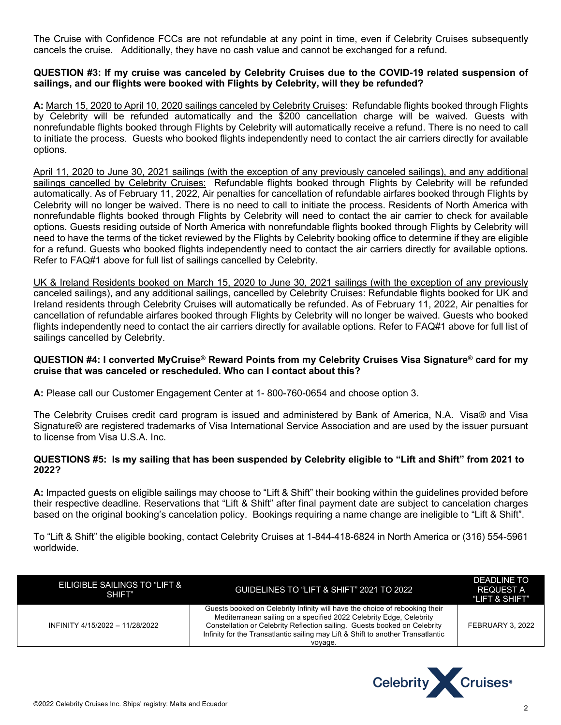The Cruise with Confidence FCCs are not refundable at any point in time, even if Celebrity Cruises subsequently cancels the cruise. Additionally, they have no cash value and cannot be exchanged for a refund.

#### **QUESTION #3: If my cruise was canceled by Celebrity Cruises due to the COVID-19 related suspension of sailings, and our flights were booked with Flights by Celebrity, will they be refunded?**

**A:** March 15, 2020 to April 10, 2020 sailings canceled by Celebrity Cruises: Refundable flights booked through Flights by Celebrity will be refunded automatically and the \$200 cancellation charge will be waived. Guests with nonrefundable flights booked through Flights by Celebrity will automatically receive a refund. There is no need to call to initiate the process. Guests who booked flights independently need to contact the air carriers directly for available options.

April 11, 2020 to June 30, 2021 sailings (with the exception of any previously canceled sailings), and any additional sailings cancelled by Celebrity Cruises: Refundable flights booked through Flights by Celebrity will be refunded automatically. As of February 11, 2022, Air penalties for cancellation of refundable airfares booked through Flights by Celebrity will no longer be waived. There is no need to call to initiate the process. Residents of North America with nonrefundable flights booked through Flights by Celebrity will need to contact the air carrier to check for available options. Guests residing outside of North America with nonrefundable flights booked through Flights by Celebrity will need to have the terms of the ticket reviewed by the Flights by Celebrity booking office to determine if they are eligible for a refund. Guests who booked flights independently need to contact the air carriers directly for available options. Refer to FAQ#1 above for full list of sailings cancelled by Celebrity.

UK & Ireland Residents booked on March 15, 2020 to June 30, 2021 sailings (with the exception of any previously canceled sailings), and any additional sailings, cancelled by Celebrity Cruises: Refundable flights booked for UK and Ireland residents through Celebrity Cruises will automatically be refunded. As of February 11, 2022, Air penalties for cancellation of refundable airfares booked through Flights by Celebrity will no longer be waived. Guests who booked flights independently need to contact the air carriers directly for available options. Refer to FAQ#1 above for full list of sailings cancelled by Celebrity.

#### **QUESTION #4: I converted MyCruise® Reward Points from my Celebrity Cruises Visa Signature® card for my cruise that was canceled or rescheduled. Who can I contact about this?**

**A:** Please call our Customer Engagement Center at 1- 800-760-0654 and choose option 3.

The Celebrity Cruises credit card program is issued and administered by Bank of America, N.A. Visa® and Visa Signature® are registered trademarks of Visa International Service Association and are used by the issuer pursuant to license from Visa U.S.A. Inc.

## **QUESTIONS #5: Is my sailing that has been suspended by Celebrity eligible to "Lift and Shift" from 2021 to 2022?**

**A:** Impacted guests on eligible sailings may choose to "Lift & Shift" their booking within the guidelines provided before their respective deadline. Reservations that "Lift & Shift" after final payment date are subject to cancelation charges based on the original booking's cancelation policy. Bookings requiring a name change are ineligible to "Lift & Shift".

To "Lift & Shift" the eligible booking, contact Celebrity Cruises at 1-844-418-6824 in North America or (316) 554-5961 worldwide.

| EILIGIBLE SAILINGS TO "LIFT &<br>SHIFT" | GUIDELINES TO "LIFT & SHIFT" 2021 TO 2022                                                                                                                                                                                                                                                                                      | DEADLINE TO<br><b>REQUEST A</b><br>"LIFT & SHIFT" |
|-----------------------------------------|--------------------------------------------------------------------------------------------------------------------------------------------------------------------------------------------------------------------------------------------------------------------------------------------------------------------------------|---------------------------------------------------|
| INFINITY 4/15/2022 - 11/28/2022         | Guests booked on Celebrity Infinity will have the choice of rebooking their<br>Mediterranean sailing on a specified 2022 Celebrity Edge, Celebrity<br>Constellation or Celebrity Reflection sailing. Guests booked on Celebrity<br>Infinity for the Transatlantic sailing may Lift & Shift to another Transatlantic<br>voyage. | FEBRUARY 3, 2022                                  |

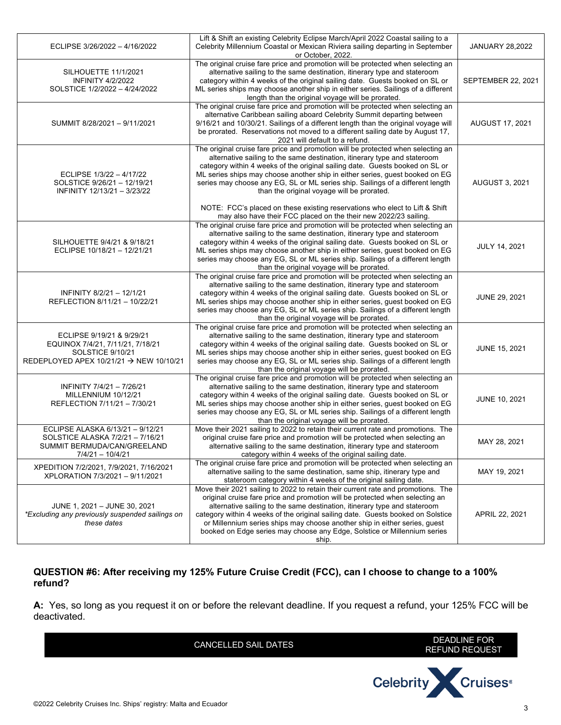| ECLIPSE 3/26/2022 - 4/16/2022                                                                                                            | Lift & Shift an existing Celebrity Eclipse March/April 2022 Coastal sailing to a<br>Celebrity Millennium Coastal or Mexican Riviera sailing departing in September<br>or October, 2022.                                                                                                                                                                                                                                                                                                                                                                                                                          | <b>JANUARY 28,2022</b>    |
|------------------------------------------------------------------------------------------------------------------------------------------|------------------------------------------------------------------------------------------------------------------------------------------------------------------------------------------------------------------------------------------------------------------------------------------------------------------------------------------------------------------------------------------------------------------------------------------------------------------------------------------------------------------------------------------------------------------------------------------------------------------|---------------------------|
| SILHOUETTE 11/1/2021<br><b>INFINITY 4/2/2022</b><br>SOLSTICE 1/2/2022 - 4/24/2022                                                        | The original cruise fare price and promotion will be protected when selecting an<br>alternative sailing to the same destination, itinerary type and stateroom<br>category within 4 weeks of the original sailing date. Guests booked on SL or<br>ML series ships may choose another ship in either series. Sailings of a different<br>length than the original voyage will be prorated.                                                                                                                                                                                                                          | <b>SEPTEMBER 22, 2021</b> |
| SUMMIT 8/28/2021 - 9/11/2021                                                                                                             | The original cruise fare price and promotion will be protected when selecting an<br>alternative Caribbean sailing aboard Celebrity Summit departing between<br>9/16/21 and 10/30/21. Sailings of a different length than the original voyage will<br>be prorated. Reservations not moved to a different sailing date by August 17,<br>2021 will default to a refund.                                                                                                                                                                                                                                             | <b>AUGUST 17, 2021</b>    |
| ECLIPSE 1/3/22 - 4/17/22<br>SOLSTICE 9/26/21 - 12/19/21<br>INFINITY 12/13/21 - 3/23/22                                                   | The original cruise fare price and promotion will be protected when selecting an<br>alternative sailing to the same destination, itinerary type and stateroom<br>category within 4 weeks of the original sailing date. Guests booked on SL or<br>ML series ships may choose another ship in either series, guest booked on EG<br>series may choose any EG, SL or ML series ship. Sailings of a different length<br>than the original voyage will be prorated.<br>NOTE: FCC's placed on these existing reservations who elect to Lift & Shift<br>may also have their FCC placed on the their new 2022/23 sailing. | AUGUST 3, 2021            |
| SILHOUETTE 9/4/21 & 9/18/21<br>ECLIPSE 10/18/21 - 12/21/21                                                                               | The original cruise fare price and promotion will be protected when selecting an<br>alternative sailing to the same destination, itinerary type and stateroom<br>category within 4 weeks of the original sailing date. Guests booked on SL or<br>ML series ships may choose another ship in either series, guest booked on EG<br>series may choose any EG, SL or ML series ship. Sailings of a different length<br>than the original voyage will be prorated.                                                                                                                                                    | JULY 14, 2021             |
| INFINITY 8/2/21 - 12/1/21<br>REFLECTION 8/11/21 - 10/22/21                                                                               | The original cruise fare price and promotion will be protected when selecting an<br>alternative sailing to the same destination, itinerary type and stateroom<br>category within 4 weeks of the original sailing date. Guests booked on SL or<br>ML series ships may choose another ship in either series, guest booked on EG<br>series may choose any EG, SL or ML series ship. Sailings of a different length<br>than the original voyage will be prorated.                                                                                                                                                    | JUNE 29, 2021             |
| ECLIPSE 9/19/21 & 9/29/21<br>EQUINOX 7/4/21, 7/11/21, 7/18/21<br>SOLSTICE 9/10/21<br>REDEPLOYED APEX 10/21/21 $\rightarrow$ NEW 10/10/21 | The original cruise fare price and promotion will be protected when selecting an<br>alternative sailing to the same destination, itinerary type and stateroom<br>category within 4 weeks of the original sailing date. Guests booked on SL or<br>ML series ships may choose another ship in either series, guest booked on EG<br>series may choose any EG, SL or ML series ship. Sailings of a different length<br>than the original voyage will be prorated.                                                                                                                                                    | JUNE 15, 2021             |
| INFINITY 7/4/21 - 7/26/21<br>MILLENNIUM 10/12/21<br>REFLECTION 7/11/21 - 7/30/21                                                         | The original cruise fare price and promotion will be protected when selecting an<br>alternative sailing to the same destination, itinerary type and stateroom<br>category within 4 weeks of the original sailing date. Guests booked on SL or<br>ML series ships may choose another ship in either series, guest booked on EG<br>series may choose any EG, SL or ML series ship. Sailings of a different length<br>than the original voyage will be prorated.                                                                                                                                                    | JUNE 10, 2021             |
| ECLIPSE ALASKA 6/13/21 - 9/12/21<br>SOLSTICE ALASKA 7/2/21 - 7/16/21<br>SUMMIT BERMUDA/CAN/GREELAND<br>$7/4/21 - 10/4/21$                | Move their 2021 sailing to 2022 to retain their current rate and promotions. The<br>original cruise fare price and promotion will be protected when selecting an<br>alternative sailing to the same destination, itinerary type and stateroom<br>category within 4 weeks of the original sailing date.                                                                                                                                                                                                                                                                                                           | MAY 28, 2021              |
| XPEDITION 7/2/2021, 7/9/2021, 7/16/2021<br>XPLORATION 7/3/2021 - 9/11/2021                                                               | The original cruise fare price and promotion will be protected when selecting an<br>alternative sailing to the same destination, same ship, itinerary type and<br>stateroom category within 4 weeks of the original sailing date.                                                                                                                                                                                                                                                                                                                                                                                | MAY 19, 2021              |
| JUNE 1, 2021 - JUNE 30, 2021<br>*Excluding any previously suspended sailings on<br>these dates                                           | Move their 2021 sailing to 2022 to retain their current rate and promotions. The<br>original cruise fare price and promotion will be protected when selecting an<br>alternative sailing to the same destination, itinerary type and stateroom<br>category within 4 weeks of the original sailing date. Guests booked on Solstice<br>or Millennium series ships may choose another ship in either series, quest<br>booked on Edge series may choose any Edge, Solstice or Millennium series<br>ship.                                                                                                              | APRIL 22, 2021            |

# **QUESTION #6: After receiving my 125% Future Cruise Credit (FCC), can I choose to change to a 100% refund?**

**A:** Yes, so long as you request it on or before the relevant deadline. If you request a refund, your 125% FCC will be deactivated.

| <b>CANCELLED SAIL DATES</b> | DEADLINE FOR<br><b>REFUND REQUEST</b> |
|-----------------------------|---------------------------------------|
|                             | <b>Celebrity X Cruises</b> ®          |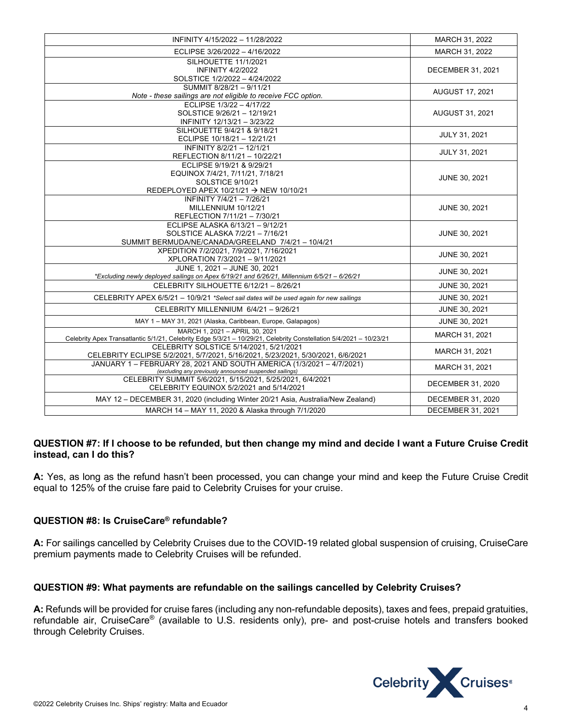| INFINITY 4/15/2022 - 11/28/2022                                                                                                                      | MARCH 31, 2022           |
|------------------------------------------------------------------------------------------------------------------------------------------------------|--------------------------|
| ECLIPSE 3/26/2022 - 4/16/2022                                                                                                                        | MARCH 31, 2022           |
| <b>SILHOUETTE 11/1/2021</b><br><b>INFINITY 4/2/2022</b><br>SOLSTICE 1/2/2022 - 4/24/2022                                                             | <b>DECEMBER 31, 2021</b> |
| SUMMIT 8/28/21 - 9/11/21<br>Note - these sailings are not eligible to receive FCC option.                                                            | <b>AUGUST 17, 2021</b>   |
| ECLIPSE 1/3/22 - 4/17/22<br>SOLSTICE 9/26/21 - 12/19/21<br>INFINITY 12/13/21 - 3/23/22                                                               | <b>AUGUST 31, 2021</b>   |
| SILHOUETTE 9/4/21 & 9/18/21<br>ECLIPSE 10/18/21 - 12/21/21                                                                                           | JULY 31, 2021            |
| INFINITY 8/2/21 - 12/1/21<br>REFLECTION 8/11/21 - 10/22/21                                                                                           | JULY 31, 2021            |
| ECLIPSE 9/19/21 & 9/29/21<br>EQUINOX 7/4/21, 7/11/21, 7/18/21<br>SOLSTICE 9/10/21<br>REDEPLOYED APEX 10/21/21 → NEW 10/10/21                         | <b>JUNE 30, 2021</b>     |
| INFINITY 7/4/21 - 7/26/21<br>MILLENNIUM 10/12/21<br>REFLECTION 7/11/21 - 7/30/21                                                                     | JUNE 30, 2021            |
| ECLIPSE ALASKA 6/13/21 - 9/12/21<br>SOLSTICE ALASKA 7/2/21 - 7/16/21<br>SUMMIT BERMUDA/NE/CANADA/GREELAND 7/4/21 - 10/4/21                           | JUNE 30, 2021            |
| XPEDITION 7/2/2021, 7/9/2021, 7/16/2021<br>XPLORATION 7/3/2021 - 9/11/2021                                                                           | JUNE 30, 2021            |
| JUNE 1, 2021 - JUNE 30, 2021<br>*Excluding newly deployed sailings on Apex 6/19/21 and 6/26/21, Millennium 6/5/21 - 6/26/21                          | JUNE 30, 2021            |
| CELEBRITY SILHOUETTE 6/12/21 - 8/26/21                                                                                                               | JUNE 30, 2021            |
| CELEBRITY APEX 6/5/21 - 10/9/21 *Select sail dates will be used again for new sailings                                                               | JUNE 30, 2021            |
| CELEBRITY MILLENNIUM 6/4/21 - 9/26/21                                                                                                                | JUNE 30, 2021            |
| MAY 1 - MAY 31, 2021 (Alaska, Caribbean, Europe, Galapagos)                                                                                          | JUNE 30, 2021            |
| MARCH 1, 2021 - APRIL 30, 2021<br>Celebrity Apex Transatlantic 5/1/21, Celebrity Edge 5/3/21 - 10/29/21, Celebrity Constellation 5/4/2021 - 10/23/21 | MARCH 31, 2021           |
| CELEBRITY SOLSTICE 5/14/2021, 5/21/2021<br>CELEBRITY ECLIPSE 5/2/2021, 5/7/2021, 5/16/2021, 5/23/2021, 5/30/2021, 6/6/2021                           | MARCH 31, 2021           |
| JANUARY 1 - FEBRUARY 28, 2021 AND SOUTH AMERICA (1/3/2021 - 4/7/2021)<br>(excluding any previously announced suspended sailings)                     | MARCH 31, 2021           |
| CELEBRITY SUMMIT 5/6/2021, 5/15/2021, 5/25/2021, 6/4/2021<br>CELEBRITY EQUINOX 5/2/2021 and 5/14/2021                                                | <b>DECEMBER 31, 2020</b> |
| MAY 12 - DECEMBER 31, 2020 (including Winter 20/21 Asia, Australia/New Zealand)                                                                      | DECEMBER 31, 2020        |
| MARCH 14 - MAY 11, 2020 & Alaska through 7/1/2020                                                                                                    | <b>DECEMBER 31, 2021</b> |

## **QUESTION #7: If I choose to be refunded, but then change my mind and decide I want a Future Cruise Credit instead, can I do this?**

**A:** Yes, as long as the refund hasn't been processed, you can change your mind and keep the Future Cruise Credit equal to 125% of the cruise fare paid to Celebrity Cruises for your cruise.

# **QUESTION #8: Is CruiseCare® refundable?**

**A:** For sailings cancelled by Celebrity Cruises due to the COVID-19 related global suspension of cruising, CruiseCare premium payments made to Celebrity Cruises will be refunded.

## **QUESTION #9: What payments are refundable on the sailings cancelled by Celebrity Cruises?**

**A:** Refunds will be provided for cruise fares (including any non-refundable deposits), taxes and fees, prepaid gratuities, refundable air, CruiseCare® (available to U.S. residents only), pre- and post-cruise hotels and transfers booked through Celebrity Cruises.

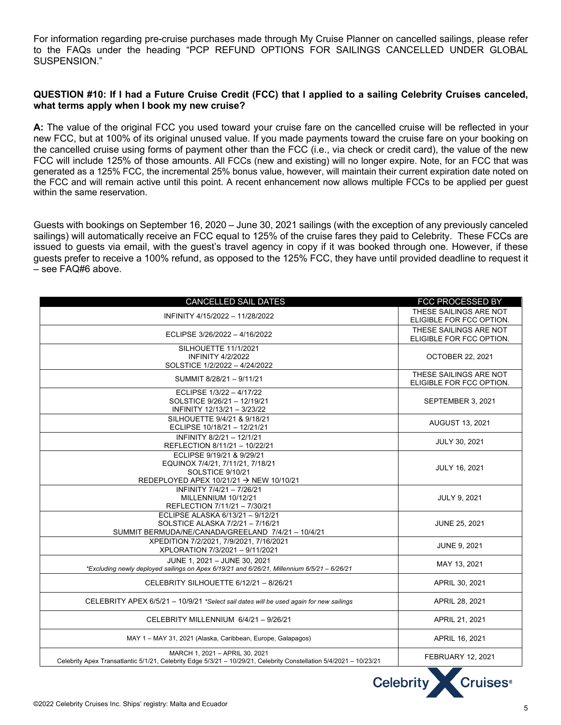For information regarding pre-cruise purchases made through My Cruise Planner on cancelled sailings, please refer to the FAQs under the heading "PCP REFUND OPTIONS FOR SAILINGS CANCELLED UNDER GLOBAL SUSPENSION."

#### **QUESTION #10: If I had a Future Cruise Credit (FCC) that I applied to a sailing Celebrity Cruises canceled, what terms apply when I book my new cruise?**

**A:** The value of the original FCC you used toward your cruise fare on the cancelled cruise will be reflected in your new FCC, but at 100% of its original unused value. If you made payments toward the cruise fare on your booking on the cancelled cruise using forms of payment other than the FCC (i.e., via check or credit card), the value of the new FCC will include 125% of those amounts. All FCCs (new and existing) will no longer expire. Note, for an FCC that was generated as a 125% FCC, the incremental 25% bonus value, however, will maintain their current expiration date noted on the FCC and will remain active until this point. A recent enhancement now allows multiple FCCs to be applied per guest within the same reservation.

Guests with bookings on September 16, 2020 – June 30, 2021 sailings (with the exception of any previously canceled sailings) will automatically receive an FCC equal to 125% of the cruise fares they paid to Celebrity. These FCCs are issued to guests via email, with the guest's travel agency in copy if it was booked through one. However, if these guests prefer to receive a 100% refund, as opposed to the 125% FCC, they have until provided deadline to request it – see FAQ#6 above.

| <b>CANCELLED SAIL DATES</b>                                                                                                                          | FCC PROCESSED BY                                   |
|------------------------------------------------------------------------------------------------------------------------------------------------------|----------------------------------------------------|
| INFINITY 4/15/2022 - 11/28/2022                                                                                                                      | THESE SAILINGS ARE NOT<br>ELIGIBLE FOR FCC OPTION. |
| ECLIPSE 3/26/2022 - 4/16/2022                                                                                                                        | THESE SAILINGS ARE NOT<br>ELIGIBLE FOR FCC OPTION. |
| SILHOUETTE 11/1/2021<br><b>INFINITY 4/2/2022</b><br>SOLSTICE 1/2/2022 - 4/24/2022                                                                    | <b>OCTOBER 22, 2021</b>                            |
| SUMMIT 8/28/21 - 9/11/21                                                                                                                             | THESE SAILINGS ARE NOT<br>ELIGIBLE FOR FCC OPTION. |
| ECLIPSE 1/3/22 - 4/17/22<br>SOLSTICE 9/26/21 - 12/19/21<br>INFINITY 12/13/21 - 3/23/22                                                               | SEPTEMBER 3, 2021                                  |
| SILHOUETTE 9/4/21 & 9/18/21<br>ECLIPSE 10/18/21 - 12/21/21                                                                                           | <b>AUGUST 13, 2021</b>                             |
| INFINITY 8/2/21 - 12/1/21<br>REFLECTION 8/11/21 - 10/22/21                                                                                           | JULY 30, 2021                                      |
| ECLIPSE 9/19/21 & 9/29/21<br>EQUINOX 7/4/21, 7/11/21, 7/18/21<br>SOLSTICE 9/10/21<br>REDEPLOYED APEX 10/21/21 $\rightarrow$ NEW 10/10/21             | <b>JULY 16, 2021</b>                               |
| INFINITY 7/4/21 - 7/26/21<br>MILLENNIUM 10/12/21<br>REFLECTION 7/11/21 - 7/30/21                                                                     | JULY 9, 2021                                       |
| ECLIPSE ALASKA 6/13/21 - 9/12/21<br>SOLSTICE ALASKA 7/2/21 - 7/16/21<br>SUMMIT BERMUDA/NE/CANADA/GREELAND 7/4/21 - 10/4/21                           | <b>JUNE 25, 2021</b>                               |
| XPEDITION 7/2/2021, 7/9/2021, 7/16/2021<br>XPLORATION 7/3/2021 - 9/11/2021                                                                           | <b>JUNE 9, 2021</b>                                |
| JUNE 1, 2021 - JUNE 30, 2021<br>*Excluding newly deployed sailings on Apex 6/19/21 and 6/26/21, Millennium 6/5/21 - 6/26/21                          | MAY 13, 2021                                       |
| CELEBRITY SILHOUETTE 6/12/21 - 8/26/21                                                                                                               | APRIL 30, 2021                                     |
| CELEBRITY APEX 6/5/21 - 10/9/21 *Select sail dates will be used again for new sailings                                                               | APRIL 28, 2021                                     |
| CELEBRITY MILLENNIUM 6/4/21 - 9/26/21                                                                                                                | APRIL 21, 2021                                     |
| MAY 1 - MAY 31, 2021 (Alaska, Caribbean, Europe, Galapagos)                                                                                          | APRIL 16, 2021                                     |
| MARCH 1, 2021 - APRIL 30, 2021<br>Celebrity Apex Transatlantic 5/1/21, Celebrity Edge 5/3/21 - 10/29/21, Celebrity Constellation 5/4/2021 - 10/23/21 | <b>FEBRUARY 12, 2021</b>                           |

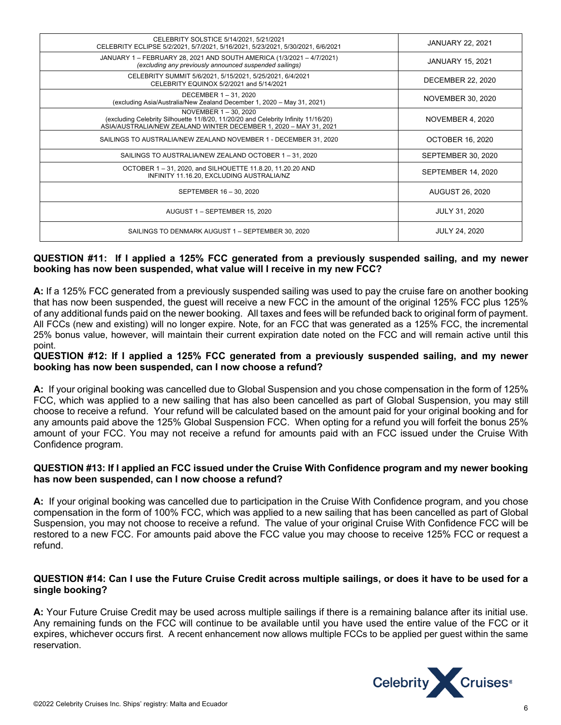| CELEBRITY SOLSTICE 5/14/2021, 5/21/2021<br>CELEBRITY ECLIPSE 5/2/2021, 5/7/2021, 5/16/2021, 5/23/2021, 5/30/2021, 6/6/2021                                                     | <b>JANUARY 22, 2021</b>   |
|--------------------------------------------------------------------------------------------------------------------------------------------------------------------------------|---------------------------|
| JANUARY 1 - FEBRUARY 28, 2021 AND SOUTH AMERICA (1/3/2021 - 4/7/2021)<br>(excluding any previously announced suspended sailings)                                               | <b>JANUARY 15, 2021</b>   |
| CELEBRITY SUMMIT 5/6/2021, 5/15/2021, 5/25/2021, 6/4/2021<br>CELEBRITY EQUINOX 5/2/2021 and 5/14/2021                                                                          | <b>DECEMBER 22, 2020</b>  |
| DECEMBER 1-31, 2020<br>(excluding Asia/Australia/New Zealand December 1, 2020 - May 31, 2021)                                                                                  | NOVEMBER 30, 2020         |
| NOVEMBER 1-30, 2020<br>(excluding Celebrity Silhouette 11/8/20, 11/20/20 and Celebrity Infinity 11/16/20)<br>ASIA/AUSTRALIA/NEW ZEALAND WINTER DECEMBER 1, 2020 - MAY 31, 2021 | NOVEMBER 4, 2020          |
| SAILINGS TO AUSTRALIA/NEW ZEALAND NOVEMBER 1 - DECEMBER 31, 2020                                                                                                               | <b>OCTOBER 16, 2020</b>   |
| SAILINGS TO AUSTRALIA/NEW ZEALAND OCTOBER 1-31, 2020                                                                                                                           | <b>SEPTEMBER 30, 2020</b> |
| OCTOBER 1-31, 2020, and SILHOUETTE 11.8.20, 11.20.20 AND<br>INFINITY 11.16.20, EXCLUDING AUSTRALIA/NZ                                                                          | SEPTEMBER 14, 2020        |
| SEPTEMBER 16 - 30, 2020                                                                                                                                                        | <b>AUGUST 26, 2020</b>    |
| AUGUST 1 - SEPTEMBER 15, 2020                                                                                                                                                  | <b>JULY 31, 2020</b>      |
| SAILINGS TO DENMARK AUGUST 1 - SEPTEMBER 30, 2020                                                                                                                              | <b>JULY 24, 2020</b>      |

## **QUESTION #11: If I applied a 125% FCC generated from a previously suspended sailing, and my newer booking has now been suspended, what value will I receive in my new FCC?**

**A:** If a 125% FCC generated from a previously suspended sailing was used to pay the cruise fare on another booking that has now been suspended, the guest will receive a new FCC in the amount of the original 125% FCC plus 125% of any additional funds paid on the newer booking. All taxes and fees will be refunded back to original form of payment. All FCCs (new and existing) will no longer expire. Note, for an FCC that was generated as a 125% FCC, the incremental 25% bonus value, however, will maintain their current expiration date noted on the FCC and will remain active until this point.

## **QUESTION #12: If I applied a 125% FCC generated from a previously suspended sailing, and my newer booking has now been suspended, can I now choose a refund?**

**A:** If your original booking was cancelled due to Global Suspension and you chose compensation in the form of 125% FCC, which was applied to a new sailing that has also been cancelled as part of Global Suspension, you may still choose to receive a refund. Your refund will be calculated based on the amount paid for your original booking and for any amounts paid above the 125% Global Suspension FCC. When opting for a refund you will forfeit the bonus 25% amount of your FCC. You may not receive a refund for amounts paid with an FCC issued under the Cruise With Confidence program.

## **QUESTION #13: If I applied an FCC issued under the Cruise With Confidence program and my newer booking has now been suspended, can I now choose a refund?**

**A:** If your original booking was cancelled due to participation in the Cruise With Confidence program, and you chose compensation in the form of 100% FCC, which was applied to a new sailing that has been cancelled as part of Global Suspension, you may not choose to receive a refund. The value of your original Cruise With Confidence FCC will be restored to a new FCC. For amounts paid above the FCC value you may choose to receive 125% FCC or request a refund.

## **QUESTION #14: Can I use the Future Cruise Credit across multiple sailings, or does it have to be used for a single booking?**

**A:** Your Future Cruise Credit may be used across multiple sailings if there is a remaining balance after its initial use. Any remaining funds on the FCC will continue to be available until you have used the entire value of the FCC or it expires, whichever occurs first. A recent enhancement now allows multiple FCCs to be applied per guest within the same reservation.

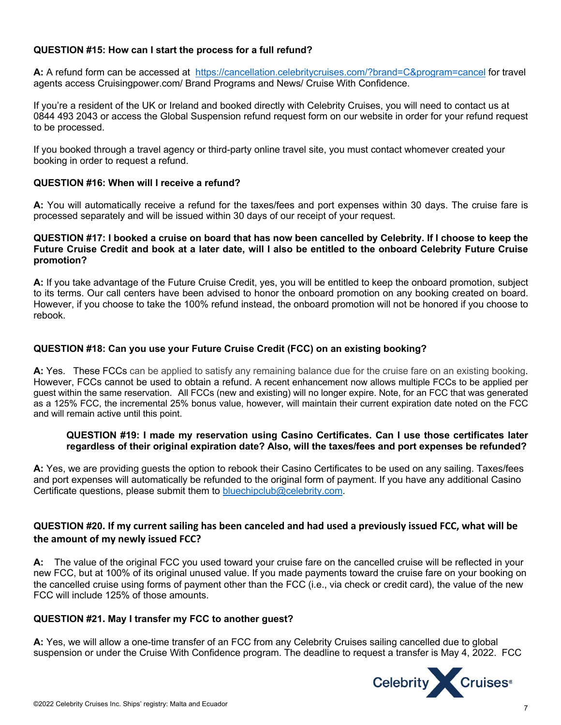# **QUESTION #15: How can I start the process for a full refund?**

**A:** A refund form can be accessed at https://cancellation.celebritycruises.com/?brand=C&program=cancel for travel agents access Cruisingpower.com/ Brand Programs and News/ Cruise With Confidence.

If you're a resident of the UK or Ireland and booked directly with Celebrity Cruises, you will need to contact us at 0844 493 2043 or access the Global Suspension refund request form on our website in order for your refund request to be processed.

If you booked through a travel agency or third-party online travel site, you must contact whomever created your booking in order to request a refund.

#### **QUESTION #16: When will I receive a refund?**

**A:** You will automatically receive a refund for the taxes/fees and port expenses within 30 days. The cruise fare is processed separately and will be issued within 30 days of our receipt of your request.

#### **QUESTION #17: I booked a cruise on board that has now been cancelled by Celebrity. If I choose to keep the Future Cruise Credit and book at a later date, will I also be entitled to the onboard Celebrity Future Cruise promotion?**

**A:** If you take advantage of the Future Cruise Credit, yes, you will be entitled to keep the onboard promotion, subject to its terms. Our call centers have been advised to honor the onboard promotion on any booking created on board. However, if you choose to take the 100% refund instead, the onboard promotion will not be honored if you choose to rebook.

## **QUESTION #18: Can you use your Future Cruise Credit (FCC) on an existing booking?**

**A:** Yes. These FCCs can be applied to satisfy any remaining balance due for the cruise fare on an existing booking. However, FCCs cannot be used to obtain a refund. A recent enhancement now allows multiple FCCs to be applied per guest within the same reservation. All FCCs (new and existing) will no longer expire. Note, for an FCC that was generated as a 125% FCC, the incremental 25% bonus value, however, will maintain their current expiration date noted on the FCC and will remain active until this point.

#### **QUESTION #19: I made my reservation using Casino Certificates. Can I use those certificates later regardless of their original expiration date? Also, will the taxes/fees and port expenses be refunded?**

**A:** Yes, we are providing guests the option to rebook their Casino Certificates to be used on any sailing. Taxes/fees and port expenses will automatically be refunded to the original form of payment. If you have any additional Casino Certificate questions, please submit them to bluechipclub@celebrity.com.

# **QUESTION #20. If my current sailing has been canceled and had used a previously issued FCC, what will be the amount of my newly issued FCC?**

**A:** The value of the original FCC you used toward your cruise fare on the cancelled cruise will be reflected in your new FCC, but at 100% of its original unused value. If you made payments toward the cruise fare on your booking on the cancelled cruise using forms of payment other than the FCC (i.e., via check or credit card), the value of the new FCC will include 125% of those amounts.

## **QUESTION #21. May I transfer my FCC to another guest?**

**A:** Yes, we will allow a one-time transfer of an FCC from any Celebrity Cruises sailing cancelled due to global suspension or under the Cruise With Confidence program. The deadline to request a transfer is May 4, 2022. FCC

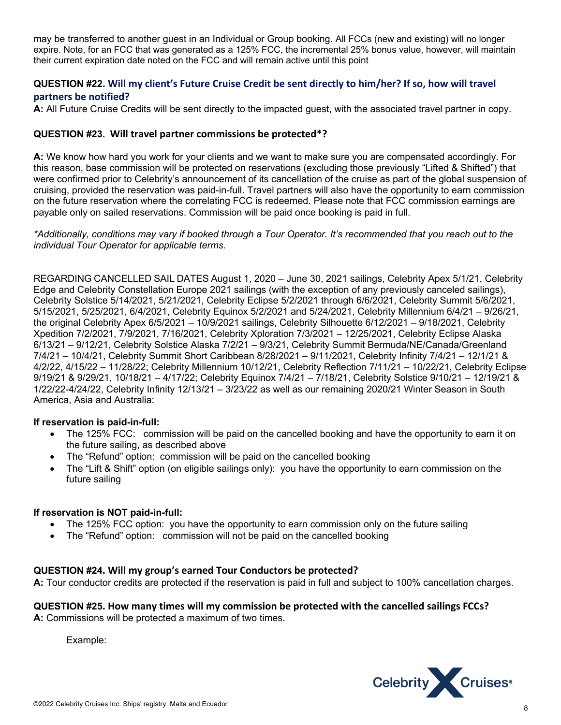may be transferred to another guest in an Individual or Group booking. All FCCs (new and existing) will no longer expire. Note, for an FCC that was generated as a 125% FCC, the incremental 25% bonus value, however, will maintain their current expiration date noted on the FCC and will remain active until this point

# **QUESTION #22. Will my client's Future Cruise Credit be sent directly to him/her? If so, how will travel partners be notified?**

**A:** All Future Cruise Credits will be sent directly to the impacted guest, with the associated travel partner in copy.

# **QUESTION #23. Will travel partner commissions be protected\*?**

**A:** We know how hard you work for your clients and we want to make sure you are compensated accordingly. For this reason, base commission will be protected on reservations (excluding those previously "Lifted & Shifted") that were confirmed prior to Celebrity's announcement of its cancellation of the cruise as part of the global suspension of cruising, provided the reservation was paid-in-full. Travel partners will also have the opportunity to earn commission on the future reservation where the correlating FCC is redeemed. Please note that FCC commission earnings are payable only on sailed reservations. Commission will be paid once booking is paid in full.

*\*Additionally, conditions may vary if booked through a Tour Operator. It's recommended that you reach out to the individual Tour Operator for applicable terms.*

REGARDING CANCELLED SAIL DATES August 1, 2020 – June 30, 2021 sailings, Celebrity Apex 5/1/21, Celebrity Edge and Celebrity Constellation Europe 2021 sailings (with the exception of any previously canceled sailings), Celebrity Solstice 5/14/2021, 5/21/2021, Celebrity Eclipse 5/2/2021 through 6/6/2021, Celebrity Summit 5/6/2021, 5/15/2021, 5/25/2021, 6/4/2021, Celebrity Equinox 5/2/2021 and 5/24/2021, Celebrity Millennium 6/4/21 – 9/26/21, the original Celebrity Apex 6/5/2021 – 10/9/2021 sailings, Celebrity Silhouette 6/12/2021 – 9/18/2021, Celebrity Xpedition 7/2/2021, 7/9/2021, 7/16/2021, Celebrity Xploration 7/3/2021 – 12/25/2021, Celebrity Eclipse Alaska 6/13/21 – 9/12/21, Celebrity Solstice Alaska 7/2/21 – 9/3/21, Celebrity Summit Bermuda/NE/Canada/Greenland 7/4/21 – 10/4/21, Celebrity Summit Short Caribbean 8/28/2021 – 9/11/2021, Celebrity Infinity 7/4/21 – 12/1/21 & 4/2/22, 4/15/22 – 11/28/22; Celebrity Millennium 10/12/21, Celebrity Reflection 7/11/21 – 10/22/21, Celebrity Eclipse 9/19/21 & 9/29/21, 10/18/21 – 4/17/22; Celebrity Equinox 7/4/21 – 7/18/21, Celebrity Solstice 9/10/21 – 12/19/21 & 1/22/22-4/24/22, Celebrity Infinity 12/13/21 – 3/23/22 as well as our remaining 2020/21 Winter Season in South America, Asia and Australia:

## **If reservation is paid-in-full:**

- The 125% FCC: commission will be paid on the cancelled booking and have the opportunity to earn it on the future sailing, as described above
- The "Refund" option: commission will be paid on the cancelled booking
- The "Lift & Shift" option (on eligible sailings only): you have the opportunity to earn commission on the future sailing

## **If reservation is NOT paid-in-full:**

- The 125% FCC option: you have the opportunity to earn commission only on the future sailing
- The "Refund" option: commission will not be paid on the cancelled booking

# **QUESTION #24. Will my group's earned Tour Conductors be protected?**

**A:** Tour conductor credits are protected if the reservation is paid in full and subject to 100% cancellation charges.

# **QUESTION #25. How many times will my commission be protected with the cancelled sailings FCCs?**

**A:** Commissions will be protected a maximum of two times.

Example:

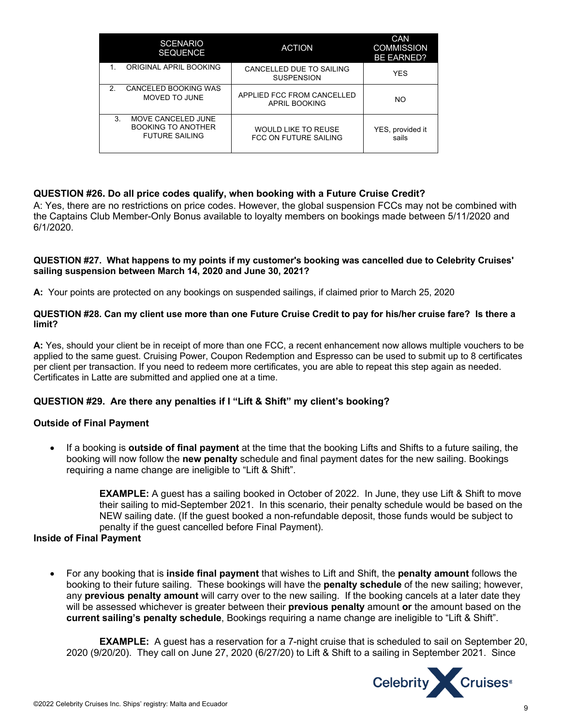| <b>SCENARIO</b><br><b>SEQUENCE</b>                                      | <b>ACTION</b>                                       | CAN<br><b>COMMISSION</b><br><b>BE EARNED?</b> |
|-------------------------------------------------------------------------|-----------------------------------------------------|-----------------------------------------------|
| ORIGINAL APRIL BOOKING                                                  | CANCELLED DUE TO SAILING<br><b>SUSPENSION</b>       | <b>YES</b>                                    |
| CANCELED BOOKING WAS<br>2.<br>MOVED TO JUNE                             | APPLIED FCC FROM CANCELLED<br><b>APRIL BOOKING</b>  | NO.                                           |
| 3.<br>MOVE CANCELED JUNE<br><b>BOOKING TO ANOTHER</b><br>FUTURE SAILING | <b>WOULD LIKE TO REUSE</b><br>FCC ON FUTURE SAILING | YES, provided it<br>sails                     |

#### **QUESTION #26. Do all price codes qualify, when booking with a Future Cruise Credit?**

A: Yes, there are no restrictions on price codes. However, the global suspension FCCs may not be combined with the Captains Club Member-Only Bonus available to loyalty members on bookings made between 5/11/2020 and 6/1/2020.

#### **QUESTION #27. What happens to my points if my customer's booking was cancelled due to Celebrity Cruises' sailing suspension between March 14, 2020 and June 30, 2021?**

**A:** Your points are protected on any bookings on suspended sailings, if claimed prior to March 25, 2020

#### **QUESTION #28. Can my client use more than one Future Cruise Credit to pay for his/her cruise fare? Is there a limit?**

**A:** Yes, should your client be in receipt of more than one FCC, a recent enhancement now allows multiple vouchers to be applied to the same guest. Cruising Power, Coupon Redemption and Espresso can be used to submit up to 8 certificates per client per transaction. If you need to redeem more certificates, you are able to repeat this step again as needed. Certificates in Latte are submitted and applied one at a time.

## **QUESTION #29. Are there any penalties if I "Lift & Shift" my client's booking?**

#### **Outside of Final Payment**

• If a booking is **outside of final payment** at the time that the booking Lifts and Shifts to a future sailing, the booking will now follow the **new penalty** schedule and final payment dates for the new sailing. Bookings requiring a name change are ineligible to "Lift & Shift".

> **EXAMPLE:** A guest has a sailing booked in October of 2022. In June, they use Lift & Shift to move their sailing to mid-September 2021. In this scenario, their penalty schedule would be based on the NEW sailing date. (If the guest booked a non-refundable deposit, those funds would be subject to penalty if the guest cancelled before Final Payment).

#### **Inside of Final Payment**

• For any booking that is **inside final payment** that wishes to Lift and Shift, the **penalty amount** follows the booking to their future sailing. These bookings will have the **penalty schedule** of the new sailing; however, any **previous penalty amount** will carry over to the new sailing. If the booking cancels at a later date they will be assessed whichever is greater between their **previous penalty** amount **or** the amount based on the **current sailing's penalty schedule**, Bookings requiring a name change are ineligible to "Lift & Shift".

**EXAMPLE:** A guest has a reservation for a 7-night cruise that is scheduled to sail on September 20, 2020 (9/20/20). They call on June 27, 2020 (6/27/20) to Lift & Shift to a sailing in September 2021. Since